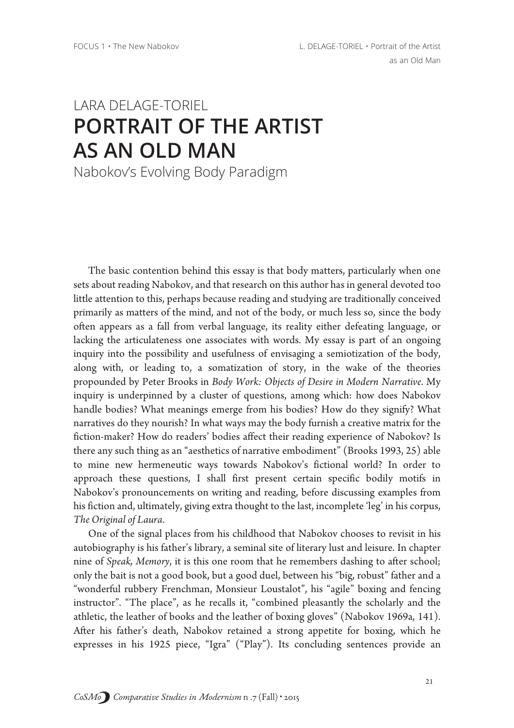## I ARA DEI AGE-TORIEL PORTRAIT OF THE ARTIST **AS AN OLD MAN**

Nabokov's Evolving Body Paradigm

The basic contention behind this essay is that body matters, particularly when one sets about reading Nabokov, and that research on this author has in general devoted too little attention to this, perhaps because reading and studying are traditionally conceived primarily as matters of the mind, and not of the body, or much less so, since the body often appears as a fall from verbal language, its reality either defeating language, or lacking the articulateness one associates with words. My essay is part of an ongoing inquiry into the possibility and usefulness of envisaging a semiotization of the body, along with, or leading to, a somatization of story, in the wake of the theories propounded by Peter Brooks in Body Work: Objects of Desire in Modern Narrative. My inquiry is underpinned by a cluster of questions, among which: how does Nabokov handle bodies? What meanings emerge from his bodies? How do they signify? What narratives do they nourish? In what ways may the body furnish a creative matrix for the fiction-maker? How do readers' bodies affect their reading experience of Nabokov? Is there any such thing as an "aesthetics of narrative embodiment" (Brooks 1993, 25) able to mine new hermeneutic ways towards Nabokov's fictional world? In order to approach these questions, I shall first present certain specific bodily motifs in Nabokov's pronouncements on writing and reading, before discussing examples from his fiction and, ultimately, giving extra thought to the last, incomplete 'leg' in his corpus, The Original of Laura.

One of the signal places from his childhood that Nabokov chooses to revisit in his autobiography is his father's library, a seminal site of literary lust and leisure. In chapter nine of Speak, Memory, it is this one room that he remembers dashing to after school; only the bait is not a good book, but a good duel, between his "big, robust" father and a "wonderful rubbery Frenchman, Monsieur Loustalot", his "agile" boxing and fencing instructor". "The place", as he recalls it, "combined pleasantly the scholarly and the athletic, the leather of books and the leather of boxing gloves" (Nabokov 1969a, 141). After his father's death, Nabokov retained a strong appetite for boxing, which he expresses in his 1925 piece, "Igra" ("Play"). Its concluding sentences provide an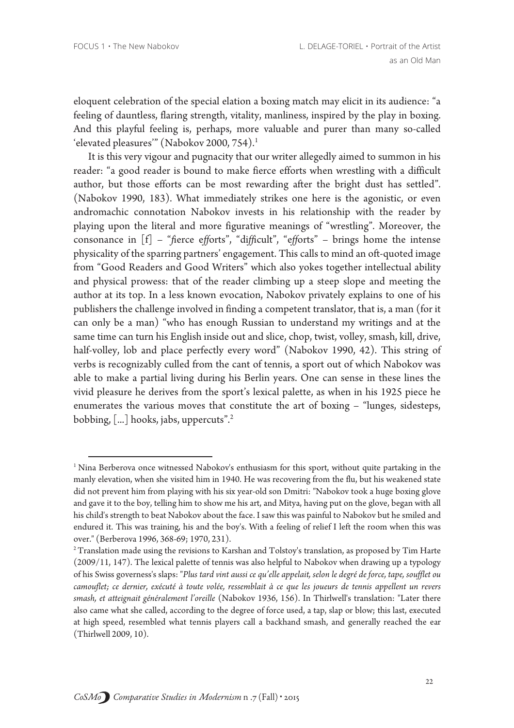eloquent celebration of the special elation a boxing match may elicit in its audience: "a feeling of dauntless, flaring strength, vitality, manliness, inspired by the play in boxing. And this playful feeling is, perhaps, more valuable and purer than many so-called 'elevated pleasures" (Nabokov 2000, 754).<sup>1</sup>

It is this very vigour and pugnacity that our writer allegedly aimed to summon in his reader: "a good reader is bound to make fierce efforts when wrestling with a difficult author, but those efforts can be most rewarding after the bright dust has settled". (Nabokov 1990, 183). What immediately strikes one here is the agonistic, or even andromachic connotation Nabokov invests in his relationship with the reader by playing upon the literal and more figurative meanings of "wrestling". Moreover, the consonance in  $[f]$  - "fierce efforts", "difficult", "efforts" - brings home the intense physicality of the sparring partners' engagement. This calls to mind an oft-quoted image from "Good Readers and Good Writers" which also yokes together intellectual ability and physical prowess: that of the reader climbing up a steep slope and meeting the author at its top. In a less known evocation, Nabokov privately explains to one of his publishers the challenge involved in finding a competent translator, that is, a man (for it can only be a man) "who has enough Russian to understand my writings and at the same time can turn his English inside out and slice, chop, twist, volley, smash, kill, drive, half-volley, lob and place perfectly every word" (Nabokov 1990, 42). This string of verbs is recognizably culled from the cant of tennis, a sport out of which Nabokov was able to make a partial living during his Berlin years. One can sense in these lines the vivid pleasure he derives from the sport's lexical palette, as when in his 1925 piece he enumerates the various moves that constitute the art of boxing - "lunges, sidesteps, bobbing, [...] hooks, jabs, uppercuts".<sup>2</sup>

 $1$  Nina Berberova once witnessed Nabokov's enthusiasm for this sport, without quite partaking in the manly elevation, when she visited him in 1940. He was recovering from the flu, but his weakened state did not prevent him from playing with his six year-old son Dmitri: "Nabokov took a huge boxing glove and gave it to the boy, telling him to show me his art, and Mitya, having put on the glove, began with all his child's strength to beat Nabokov about the face. I saw this was painful to Nabokov but he smiled and endured it. This was training, his and the boy's. With a feeling of relief I left the room when this was over." (Berberova 1996, 368-69; 1970, 231).

<sup>&</sup>lt;sup>2</sup> Translation made using the revisions to Karshan and Tolstoy's translation, as proposed by Tim Harte (2009/11, 147). The lexical palette of tennis was also helpful to Nabokov when drawing up a typology of his Swiss governess's slaps: "Plus tard vint aussi ce qu'elle appelait, selon le degré de force, tape, soufflet ou camouflet; ce dernier, exécuté à toute volée, ressemblait à ce que les joueurs de tennis appellent un revers smash, et atteignait généralement l'oreille (Nabokov 1936, 156). In Thirlwell's translation: "Later there also came what she called, according to the degree of force used, a tap, slap or blow; this last, executed at high speed, resembled what tennis players call a backhand smash, and generally reached the ear (Thirlwell 2009, 10).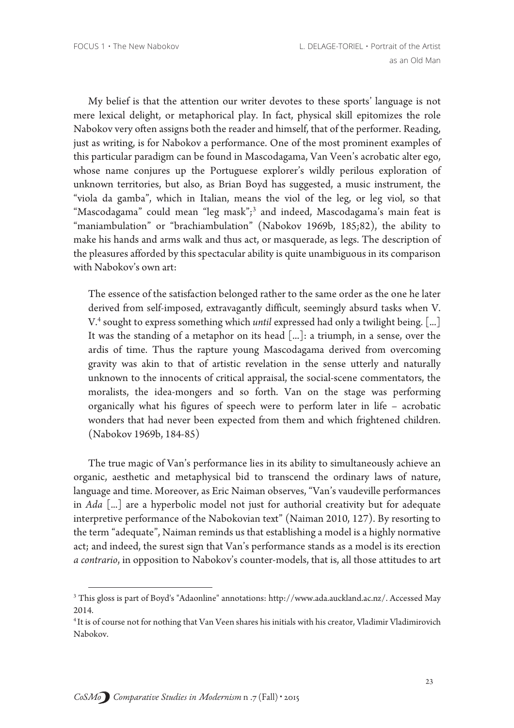My belief is that the attention our writer devotes to these sports' language is not mere lexical delight, or metaphorical play. In fact, physical skill epitomizes the role Nabokov very often assigns both the reader and himself, that of the performer. Reading, just as writing, is for Nabokov a performance. One of the most prominent examples of this particular paradigm can be found in Mascodagama, Van Veen's acrobatic alter ego, whose name conjures up the Portuguese explorer's wildly perilous exploration of unknown territories, but also, as Brian Boyd has suggested, a music instrument, the "viola da gamba", which in Italian, means the viol of the leg, or leg viol, so that "Mascodagama" could mean "leg mask";<sup>3</sup> and indeed, Mascodagama's main feat is "maniambulation" or "brachiambulation" (Nabokov 1969b, 185;82), the ability to make his hands and arms walk and thus act, or masquerade, as legs. The description of the pleasures afforded by this spectacular ability is quite unambiguous in its comparison with Nabokov's own art:

The essence of the satisfaction belonged rather to the same order as the one he later derived from self-imposed, extravagantly difficult, seemingly absurd tasks when V. V.<sup>4</sup> sought to express something which *until* expressed had only a twilight being. [...] It was the standing of a metaphor on its head [...]: a triumph, in a sense, over the ardis of time. Thus the rapture young Mascodagama derived from overcoming gravity was akin to that of artistic revelation in the sense utterly and naturally unknown to the innocents of critical appraisal, the social-scene commentators, the moralists, the idea-mongers and so forth. Van on the stage was performing organically what his figures of speech were to perform later in life - acrobatic wonders that had never been expected from them and which frightened children. (Nabokov 1969b, 184-85)

The true magic of Van's performance lies in its ability to simultaneously achieve an organic, aesthetic and metaphysical bid to transcend the ordinary laws of nature, language and time. Moreover, as Eric Naiman observes, "Van's vaudeville performances in Ada [...] are a hyperbolic model not just for authorial creativity but for adequate interpretive performance of the Nabokovian text" (Naiman 2010, 127). By resorting to the term "adequate", Naiman reminds us that establishing a model is a highly normative act; and indeed, the surest sign that Van's performance stands as a model is its erection a contrario, in opposition to Nabokov's counter-models, that is, all those attitudes to art

<sup>&</sup>lt;sup>3</sup> This gloss is part of Boyd's "Adaonline" annotations: http://www.ada.auckland.ac.nz/. Accessed May 2014.

<sup>&</sup>lt;sup>4</sup> It is of course not for nothing that Van Veen shares his initials with his creator, Vladimir Vladimirovich Nabokov.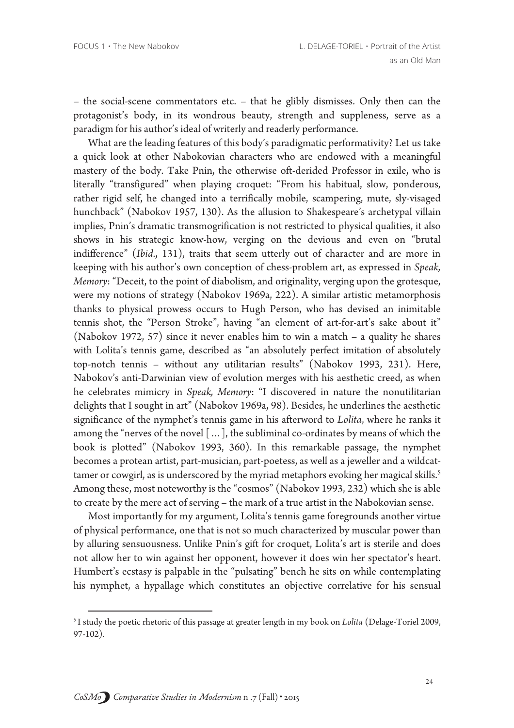- the social-scene commentators etc. - that he glibly dismisses. Only then can the protagonist's body, in its wondrous beauty, strength and suppleness, serve as a paradigm for his author's ideal of writerly and readerly performance.

What are the leading features of this body's paradigmatic performativity? Let us take a quick look at other Nabokovian characters who are endowed with a meaningful mastery of the body. Take Pnin, the otherwise oft-derided Professor in exile, who is literally "transfigured" when playing croquet: "From his habitual, slow, ponderous, rather rigid self, he changed into a terrifically mobile, scampering, mute, sly-visaged hunchback" (Nabokov 1957, 130). As the allusion to Shakespeare's archetypal villain implies, Pnin's dramatic transmogrification is not restricted to physical qualities, it also shows in his strategic know-how, verging on the devious and even on "brutal indifference" (Ibid., 131), traits that seem utterly out of character and are more in keeping with his author's own conception of chess-problem art, as expressed in Speak, Memory: "Deceit, to the point of diabolism, and originality, verging upon the grotesque, were my notions of strategy (Nabokov 1969a, 222). A similar artistic metamorphosis thanks to physical prowess occurs to Hugh Person, who has devised an inimitable tennis shot, the "Person Stroke", having "an element of art-for-art's sake about it" (Nabokov 1972, 57) since it never enables him to win a match – a quality he shares with Lolita's tennis game, described as "an absolutely perfect imitation of absolutely top-notch tennis - without any utilitarian results" (Nabokov 1993, 231). Here, Nabokov's anti-Darwinian view of evolution merges with his aesthetic creed, as when he celebrates mimicry in Speak, Memory: "I discovered in nature the nonutilitarian delights that I sought in art" (Nabokov 1969a, 98). Besides, he underlines the aesthetic significance of the nymphet's tennis game in his afterword to Lolita, where he ranks it among the "nerves of the novel [...], the subliminal co-ordinates by means of which the book is plotted" (Nabokov 1993, 360). In this remarkable passage, the nymphet becomes a protean artist, part-musician, part-poetess, as well as a jeweller and a wildcattamer or cowgirl, as is underscored by the myriad metaphors evoking her magical skills.<sup>5</sup> Among these, most noteworthy is the "cosmos" (Nabokov 1993, 232) which she is able to create by the mere act of serving - the mark of a true artist in the Nabokovian sense.

Most importantly for my argument, Lolita's tennis game foregrounds another virtue of physical performance, one that is not so much characterized by muscular power than by alluring sensuousness. Unlike Pnin's gift for croquet, Lolita's art is sterile and does not allow her to win against her opponent, however it does win her spectator's heart. Humbert's ecstasy is palpable in the "pulsating" bench he sits on while contemplating his nymphet, a hypallage which constitutes an objective correlative for his sensual

<sup>&</sup>lt;sup>5</sup> I study the poetic rhetoric of this passage at greater length in my book on Lolita (Delage-Toriel 2009,  $97-102$ ).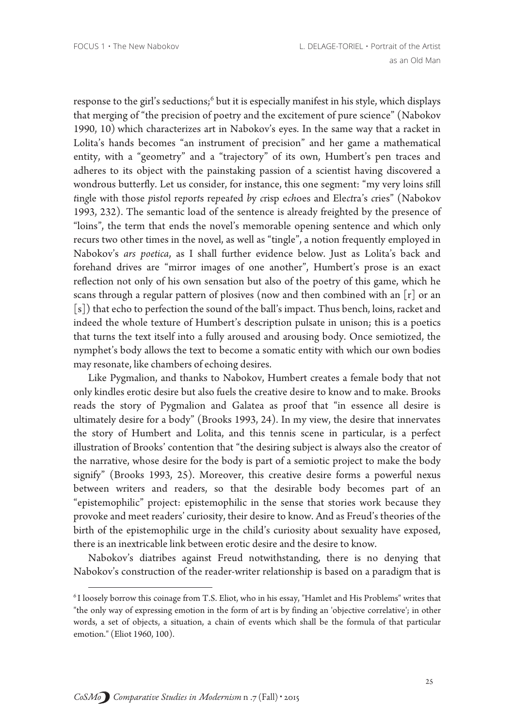response to the girl's seductions;<sup>6</sup> but it is especially manifest in his style, which displays that merging of "the precision of poetry and the excitement of pure science" (Nabokov 1990, 10) which characterizes art in Nabokov's eyes. In the same way that a racket in Lolita's hands becomes "an instrument of precision" and her game a mathematical entity, with a "geometry" and a "trajectory" of its own, Humbert's pen traces and adheres to its object with the painstaking passion of a scientist having discovered a wondrous butterfly. Let us consider, for instance, this one segment: "my very loins still tingle with those pistol reports repeated by crisp echoes and Electra's cries" (Nabokov 1993, 232). The semantic load of the sentence is already freighted by the presence of "loins", the term that ends the novel's memorable opening sentence and which only recurs two other times in the novel, as well as "tingle", a notion frequently employed in Nabokov's ars poetica, as I shall further evidence below. Just as Lolita's back and forehand drives are "mirror images of one another", Humbert's prose is an exact reflection not only of his own sensation but also of the poetry of this game, which he scans through a regular pattern of plosives (now and then combined with an [r] or an [s]) that echo to perfection the sound of the ball's impact. Thus bench, loins, racket and indeed the whole texture of Humbert's description pulsate in unison; this is a poetics that turns the text itself into a fully aroused and arousing body. Once semiotized, the nymphet's body allows the text to become a somatic entity with which our own bodies may resonate, like chambers of echoing desires.

Like Pygmalion, and thanks to Nabokov, Humbert creates a female body that not only kindles erotic desire but also fuels the creative desire to know and to make. Brooks reads the story of Pygmalion and Galatea as proof that "in essence all desire is ultimately desire for a body" (Brooks 1993, 24). In my view, the desire that innervates the story of Humbert and Lolita, and this tennis scene in particular, is a perfect illustration of Brooks' contention that "the desiring subject is always also the creator of the narrative, whose desire for the body is part of a semiotic project to make the body signify" (Brooks 1993, 25). Moreover, this creative desire forms a powerful nexus between writers and readers, so that the desirable body becomes part of an "epistemophilic" project: epistemophilic in the sense that stories work because they provoke and meet readers' curiosity, their desire to know. And as Freud's theories of the birth of the epistemophilic urge in the child's curiosity about sexuality have exposed, there is an inextricable link between erotic desire and the desire to know.

Nabokov's diatribes against Freud notwithstanding, there is no denying that Nabokov's construction of the reader-writer relationship is based on a paradigm that is

<sup>&</sup>lt;sup>6</sup> I loosely borrow this coinage from T.S. Eliot, who in his essay, "Hamlet and His Problems" writes that "the only way of expressing emotion in the form of art is by finding an 'objective correlative'; in other words, a set of objects, a situation, a chain of events which shall be the formula of that particular emotion." (Eliot 1960, 100).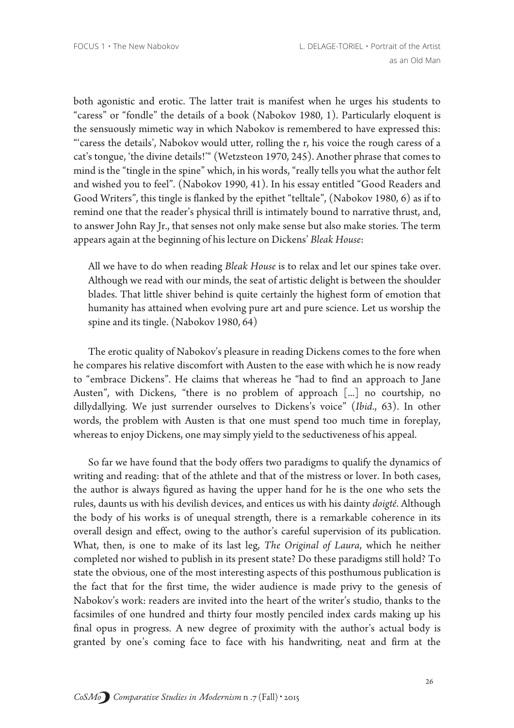both agonistic and erotic. The latter trait is manifest when he urges his students to "caress" or "fondle" the details of a book (Nabokov 1980, 1). Particularly eloquent is the sensuously mimetic way in which Nabokov is remembered to have expressed this: "'caress the details', Nabokov would utter, rolling the r, his voice the rough caress of a cat's tongue, 'the divine details!'" (Wetzsteon 1970, 245). Another phrase that comes to mind is the "tingle in the spine" which, in his words, "really tells you what the author felt and wished you to feel". (Nabokov 1990, 41). In his essay entitled "Good Readers and Good Writers", this tingle is flanked by the epithet "telltale", (Nabokov 1980, 6) as if to remind one that the reader's physical thrill is intimately bound to narrative thrust, and, to answer John Ray Jr., that senses not only make sense but also make stories. The term appears again at the beginning of his lecture on Dickens' Bleak House:

All we have to do when reading Bleak House is to relax and let our spines take over. Although we read with our minds, the seat of artistic delight is between the shoulder blades. That little shiver behind is quite certainly the highest form of emotion that humanity has attained when evolving pure art and pure science. Let us worship the spine and its tingle. (Nabokov 1980, 64)

The erotic quality of Nabokov's pleasure in reading Dickens comes to the fore when he compares his relative discomfort with Austen to the ease with which he is now ready to "embrace Dickens". He claims that whereas he "had to find an approach to Jane Austen", with Dickens, "there is no problem of approach [...] no courtship, no dillydallying. We just surrender ourselves to Dickens's voice" (Ibid., 63). In other words, the problem with Austen is that one must spend too much time in foreplay, whereas to enjoy Dickens, one may simply yield to the seductiveness of his appeal.

So far we have found that the body offers two paradigms to qualify the dynamics of writing and reading: that of the athlete and that of the mistress or lover. In both cases, the author is always figured as having the upper hand for he is the one who sets the rules, daunts us with his devilish devices, and entices us with his dainty doigté. Although the body of his works is of unequal strength, there is a remarkable coherence in its overall design and effect, owing to the author's careful supervision of its publication. What, then, is one to make of its last leg, The Original of Laura, which he neither completed nor wished to publish in its present state? Do these paradigms still hold? To state the obvious, one of the most interesting aspects of this posthumous publication is the fact that for the first time, the wider audience is made privy to the genesis of Nabokov's work: readers are invited into the heart of the writer's studio, thanks to the facsimiles of one hundred and thirty four mostly penciled index cards making up his final opus in progress. A new degree of proximity with the author's actual body is granted by one's coming face to face with his handwriting, neat and firm at the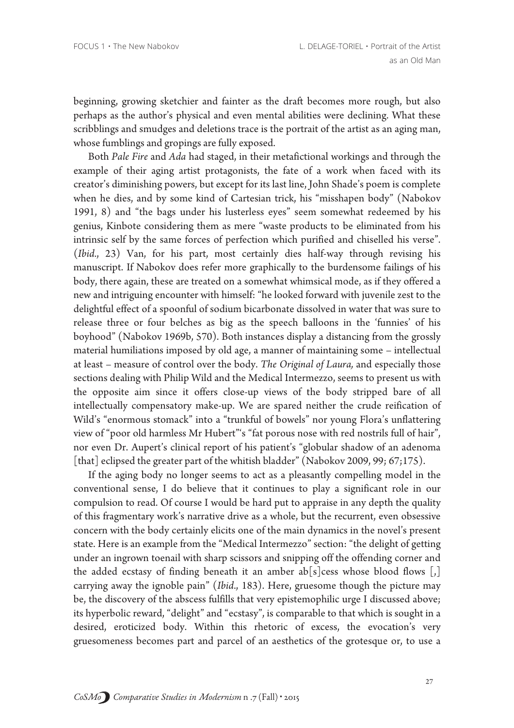beginning, growing sketchier and fainter as the draft becomes more rough, but also perhaps as the author's physical and even mental abilities were declining. What these scribblings and smudges and deletions trace is the portrait of the artist as an aging man, whose fumblings and gropings are fully exposed.

Both Pale Fire and Ada had staged, in their metafictional workings and through the example of their aging artist protagonists, the fate of a work when faced with its creator's diminishing powers, but except for its last line, John Shade's poem is complete when he dies, and by some kind of Cartesian trick, his "misshapen body" (Nabokov 1991, 8) and "the bags under his lusterless eyes" seem somewhat redeemed by his genius, Kinbote considering them as mere "waste products to be eliminated from his intrinsic self by the same forces of perfection which purified and chiselled his verse". (Ibid., 23) Van, for his part, most certainly dies half-way through revising his manuscript. If Nabokov does refer more graphically to the burdensome failings of his body, there again, these are treated on a somewhat whimsical mode, as if they offered a new and intriguing encounter with himself: "he looked forward with juvenile zest to the delightful effect of a spoonful of sodium bicarbonate dissolved in water that was sure to release three or four belches as big as the speech balloons in the 'funnies' of his boyhood" (Nabokov 1969b, 570). Both instances display a distancing from the grossly material humiliations imposed by old age, a manner of maintaining some - intellectual at least - measure of control over the body. The Original of Laura, and especially those sections dealing with Philip Wild and the Medical Intermezzo, seems to present us with the opposite aim since it offers close-up views of the body stripped bare of all intellectually compensatory make-up. We are spared neither the crude reification of Wild's "enormous stomack" into a "trunkful of bowels" nor young Flora's unflattering view of "poor old harmless Mr Hubert"'s "fat porous nose with red nostrils full of hair", nor even Dr. Aupert's clinical report of his patient's "globular shadow of an adenoma [that] eclipsed the greater part of the whitish bladder" (Nabokov 2009, 99; 67;175).

If the aging body no longer seems to act as a pleasantly compelling model in the conventional sense, I do believe that it continues to play a significant role in our compulsion to read. Of course I would be hard put to appraise in any depth the quality of this fragmentary work's narrative drive as a whole, but the recurrent, even obsessive concern with the body certainly elicits one of the main dynamics in the novel's present state. Here is an example from the "Medical Intermezzo" section: "the delight of getting under an ingrown toenail with sharp scissors and snipping off the offending corner and the added ecstasy of finding beneath it an amber ab[s]cess whose blood flows  $[,]$ carrying away the ignoble pain" (Ibid., 183). Here, gruesome though the picture may be, the discovery of the abscess fulfills that very epistemophilic urge I discussed above; its hyperbolic reward, "delight" and "ecstasy", is comparable to that which is sought in a desired, eroticized body. Within this rhetoric of excess, the evocation's very gruesomeness becomes part and parcel of an aesthetics of the grotesque or, to use a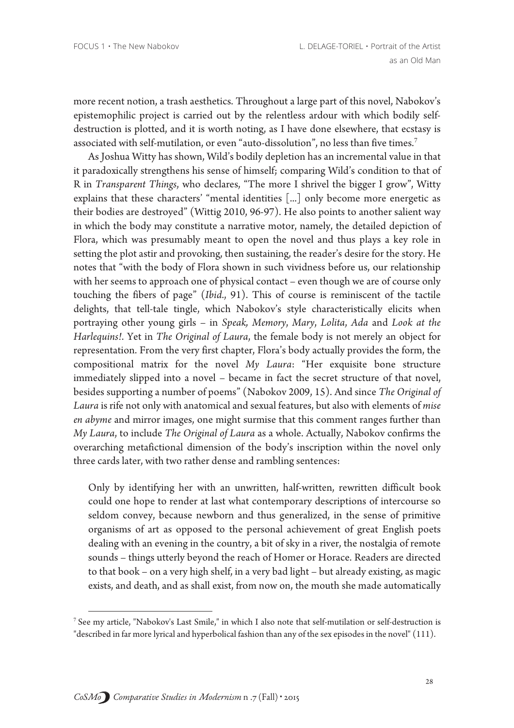more recent notion, a trash aesthetics. Throughout a large part of this novel, Nabokov's epistemophilic project is carried out by the relentless ardour with which bodily selfdestruction is plotted, and it is worth noting, as I have done elsewhere, that ecstasy is associated with self-mutilation, or even "auto-dissolution", no less than five times.<sup>7</sup>

As Joshua Witty has shown, Wild's bodily depletion has an incremental value in that it paradoxically strengthens his sense of himself; comparing Wild's condition to that of R in Transparent Things, who declares, "The more I shrivel the bigger I grow", Witty explains that these characters' "mental identities [...] only become more energetic as their bodies are destroyed" (Wittig 2010, 96-97). He also points to another salient way in which the body may constitute a narrative motor, namely, the detailed depiction of Flora, which was presumably meant to open the novel and thus plays a key role in setting the plot astir and provoking, then sustaining, the reader's desire for the story. He notes that "with the body of Flora shown in such vividness before us, our relationship with her seems to approach one of physical contact - even though we are of course only touching the fibers of page" (Ibid., 91). This of course is reminiscent of the tactile delights, that tell-tale tingle, which Nabokov's style characteristically elicits when portraying other young girls - in Speak, Memory, Mary, Lolita, Ada and Look at the Harlequins!. Yet in The Original of Laura, the female body is not merely an object for representation. From the very first chapter, Flora's body actually provides the form, the compositional matrix for the novel My Laura: "Her exquisite bone structure immediately slipped into a novel - became in fact the secret structure of that novel, besides supporting a number of poems" (Nabokov 2009, 15). And since The Original of Laura is rife not only with anatomical and sexual features, but also with elements of mise en abyme and mirror images, one might surmise that this comment ranges further than My Laura, to include The Original of Laura as a whole. Actually, Nabokov confirms the overarching metafictional dimension of the body's inscription within the novel only three cards later, with two rather dense and rambling sentences:

Only by identifying her with an unwritten, half-written, rewritten difficult book could one hope to render at last what contemporary descriptions of intercourse so seldom convey, because newborn and thus generalized, in the sense of primitive organisms of art as opposed to the personal achievement of great English poets dealing with an evening in the country, a bit of sky in a river, the nostalgia of remote sounds - things utterly beyond the reach of Homer or Horace. Readers are directed to that book - on a very high shelf, in a very bad light - but already existing, as magic exists, and death, and as shall exist, from now on, the mouth she made automatically

<sup>&</sup>lt;sup>7</sup> See my article, "Nabokov's Last Smile," in which I also note that self-mutilation or self-destruction is

<sup>&</sup>quot;described in far more lyrical and hyperbolical fashion than any of the sex episodes in the novel" (111).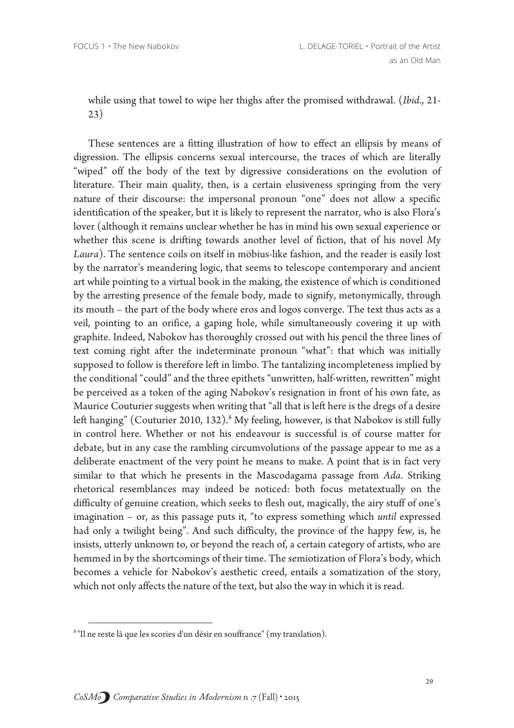while using that towel to wipe her thighs after the promised withdrawal. (Ibid., 21- $(23)$ 

These sentences are a fitting illustration of how to effect an ellipsis by means of digression. The ellipsis concerns sexual intercourse, the traces of which are literally "wiped" off the body of the text by digressive considerations on the evolution of literature. Their main quality, then, is a certain elusiveness springing from the very nature of their discourse: the impersonal pronoun "one" does not allow a specific identification of the speaker, but it is likely to represent the narrator, who is also Flora's lover (although it remains unclear whether he has in mind his own sexual experience or whether this scene is drifting towards another level of fiction, that of his novel My Laura). The sentence coils on itself in möbius-like fashion, and the reader is easily lost by the narrator's meandering logic, that seems to telescope contemporary and ancient art while pointing to a virtual book in the making, the existence of which is conditioned by the arresting presence of the female body, made to signify, metonymically, through its mouth - the part of the body where eros and logos converge. The text thus acts as a veil, pointing to an orifice, a gaping hole, while simultaneously covering it up with graphite. Indeed, Nabokov has thoroughly crossed out with his pencil the three lines of text coming right after the indeterminate pronoun "what": that which was initially supposed to follow is therefore left in limbo. The tantalizing incompleteness implied by the conditional "could" and the three epithets "unwritten, half-written, rewritten" might be perceived as a token of the aging Nabokov's resignation in front of his own fate, as Maurice Couturier suggests when writing that "all that is left here is the dregs of a desire left hanging" (Couturier 2010, 132).<sup>8</sup> My feeling, however, is that Nabokov is still fully in control here. Whether or not his endeavour is successful is of course matter for debate, but in any case the rambling circumvolutions of the passage appear to me as a deliberate enactment of the very point he means to make. A point that is in fact very similar to that which he presents in the Mascodagama passage from Ada. Striking rhetorical resemblances may indeed be noticed: both focus metatextually on the difficulty of genuine creation, which seeks to flesh out, magically, the airy stuff of one's imagination - or, as this passage puts it, "to express something which *until* expressed had only a twilight being". And such difficulty, the province of the happy few, is, he insists, utterly unknown to, or beyond the reach of, a certain category of artists, who are hemmed in by the shortcomings of their time. The semiotization of Flora's body, which becomes a vehicle for Nabokov's aesthetic creed, entails a somatization of the story, which not only affects the nature of the text, but also the way in which it is read.

<sup>&</sup>lt;sup>8</sup> "Il ne reste là que les scories d'un désir en souffrance" (my translation).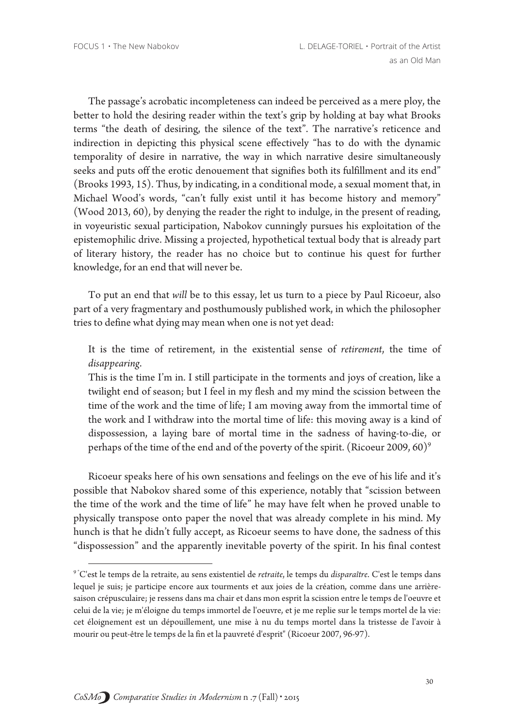The passage's acrobatic incompleteness can indeed be perceived as a mere ploy, the better to hold the desiring reader within the text's grip by holding at bay what Brooks terms "the death of desiring, the silence of the text". The narrative's reticence and indirection in depicting this physical scene effectively "has to do with the dynamic temporality of desire in narrative, the way in which narrative desire simultaneously seeks and puts off the erotic denouement that signifies both its fulfillment and its end" (Brooks 1993, 15). Thus, by indicating, in a conditional mode, a sexual moment that, in Michael Wood's words, "can't fully exist until it has become history and memory" (Wood 2013, 60), by denying the reader the right to indulge, in the present of reading, in voyeuristic sexual participation, Nabokov cunningly pursues his exploitation of the epistemophilic drive. Missing a projected, hypothetical textual body that is already part of literary history, the reader has no choice but to continue his quest for further knowledge, for an end that will never be.

To put an end that will be to this essay, let us turn to a piece by Paul Ricoeur, also part of a very fragmentary and posthumously published work, in which the philosopher tries to define what dying may mean when one is not yet dead:

It is the time of retirement, in the existential sense of retirement, the time of disappearing.

This is the time I'm in. I still participate in the torments and joys of creation, like a twilight end of season; but I feel in my flesh and my mind the scission between the time of the work and the time of life; I am moving away from the immortal time of the work and I withdraw into the mortal time of life: this moving away is a kind of dispossession, a laying bare of mortal time in the sadness of having-to-die, or perhaps of the time of the end and of the poverty of the spirit. (Ricoeur 2009, 60)<sup>9</sup>

Ricoeur speaks here of his own sensations and feelings on the eve of his life and it's possible that Nabokov shared some of this experience, notably that "scission between the time of the work and the time of life" he may have felt when he proved unable to physically transpose onto paper the novel that was already complete in his mind. My hunch is that he didn't fully accept, as Ricoeur seems to have done, the sadness of this "dispossession" and the apparently inevitable poverty of the spirit. In his final contest

<sup>&</sup>lt;sup>9</sup> "C'est le temps de la retraite, au sens existentiel de retraite, le temps du disparaître. C'est le temps dans lequel je suis; je participe encore aux tourments et aux joies de la création, comme dans une arrièresaison crépusculaire; je ressens dans ma chair et dans mon esprit la scission entre le temps de l'oeuvre et celui de la vie; je m'éloigne du temps immortel de l'oeuvre, et je me replie sur le temps mortel de la vie: cet éloignement est un dépouillement, une mise à nu du temps mortel dans la tristesse de l'avoir à mourir ou peut-être le temps de la fin et la pauvreté d'esprit" (Ricoeur 2007, 96-97).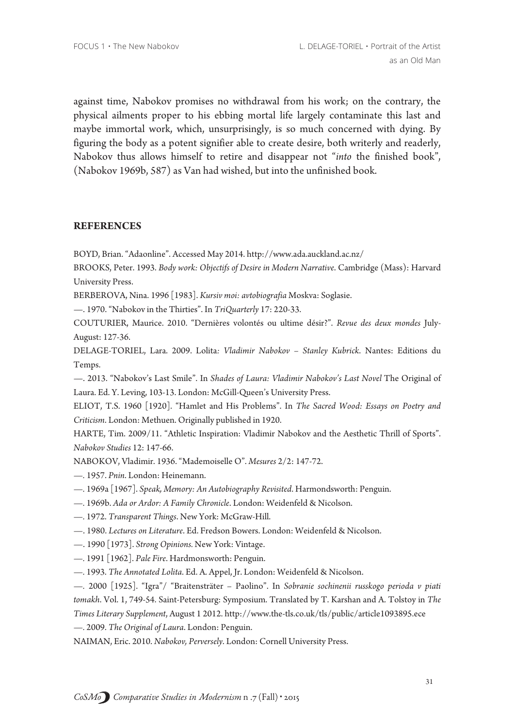against time, Nabokov promises no withdrawal from his work; on the contrary, the physical ailments proper to his ebbing mortal life largely contaminate this last and maybe immortal work, which, unsurprisingly, is so much concerned with dying. By figuring the body as a potent signifier able to create desire, both writerly and readerly, Nabokov thus allows himself to retire and disappear not "into the finished book", (Nabokov 1969b, 587) as Van had wished, but into the unfinished book.

## **REFERENCES**

BOYD, Brian. "Adaonline". Accessed May 2014. http://www.ada.auckland.ac.nz/

BROOKS, Peter. 1993. Body work: Objectifs of Desire in Modern Narrative. Cambridge (Mass): Harvard **University Press.** 

BERBEROVA, Nina. 1996 [1983]. Kursiv moi: avtobiografia Moskva: Soglasie.

-. 1970. "Nabokov in the Thirties". In TriQuarterly 17: 220-33.

COUTURIER, Maurice. 2010. "Dernières volontés ou ultime désir?". Revue des deux mondes July-August: 127-36.

DELAGE-TORIEL, Lara. 2009. Lolita: Vladimir Nabokov - Stanley Kubrick. Nantes: Editions du Temps.

-. 2013. "Nabokov's Last Smile". In Shades of Laura: Vladimir Nabokov's Last Novel The Original of Laura. Ed. Y. Leving, 103-13. London: McGill-Queen's University Press.

ELIOT, T.S. 1960 [1920]. "Hamlet and His Problems". In The Sacred Wood: Essays on Poetry and Criticism. London: Methuen. Originally published in 1920.

HARTE, Tim. 2009/11. "Athletic Inspiration: Vladimir Nabokov and the Aesthetic Thrill of Sports". Nabokov Studies 12: 147-66.

NABOKOV, Vladimir. 1936. "Mademoiselle O". Mesures 2/2: 147-72.

-. 1957. Pnin. London: Heinemann.

- 1969a [1967]. Speak, Memory: An Autobiography Revisited. Harmondsworth: Penguin.
- -. 1969b. Ada or Ardor: A Family Chronicle. London: Weidenfeld & Nicolson.

-. 1972. Transparent Things. New York: McGraw-Hill.

-. 1980. Lectures on Literature. Ed. Fredson Bowers. London: Weidenfeld & Nicolson.

-. 1990 [1973]. Strong Opinions. New York: Vintage.

-. 1991 [1962]. Pale Fire. Hardmonsworth: Penguin.

-. 1993. The Annotated Lolita. Ed. A. Appel, Jr. London: Weidenfeld & Nicolson.

- 2000 [1925]. "Igra"/ "Braitensträter – Paolino". In Sobranie sochinenii russkogo perioda v piati tomakh. Vol. 1, 749-54. Saint-Petersburg: Symposium. Translated by T. Karshan and A. Tolstoy in The Times Literary Supplement, August 1 2012. http://www.the-tls.co.uk/tls/public/article1093895.ece

-. 2009. The Original of Laura. London: Penguin.

NAIMAN, Eric. 2010. Nabokov, Perversely. London: Cornell University Press.